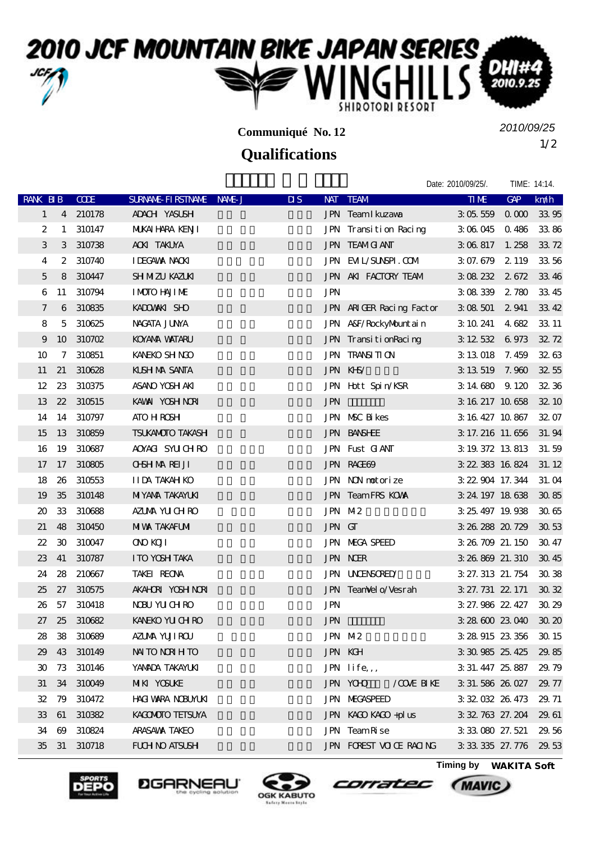## 2010 JCF MOUNTAIN BIKE JAPAN SERIES

**Communiqué No. 12**

## **Qualifications**

1/2 *2010/09/25*

Date: 2010/09/25/. TIME: 14:14. RANK BIB CODE SURNAME-FIRSTNAME NAME-JUSI DIS NAT TEAM TIME THAT TIME GAP km/h 1 4 210178 ADACH YASUSH **JPN Team Ikuzawa** 3:05.559 0.000 33:95 2 1 310147 MUKAIHARA KENJI JPN Transition Racing 3:06.045 0.486 33:86  $3$   $3$   $310738$   $400$   $74004$   $40004$   $10004$   $10004$   $10004$   $10004$   $10004$   $10004$   $10004$   $10004$   $10004$   $10004$   $10004$   $10004$   $10004$   $10004$   $10004$   $10004$   $10004$   $10004$   $10004$   $10004$   $10004$   $10004$   $10004$ 4 2 310740 IDEGAWA NAOKI JPN EVIL/SUNSPI.COM 3:07.679 2.119 33.56 5 8 310447 SHIMIZU KAZUKI **KAZUKI TEAM AKI FACTORY TEAM** 3:08.232 2.672 33.46 6 11 310794 IMOTO HAJIME **IMOTO HAJIME** JPN 3:08:339 2.780 33.45 7 6 310835 KADOWAKI SHO **TABLE ARIGER Racing Factor** 3:08:501 2:941 33:42 8 5 310625 NAGATA JUNYA 永田 隼也 神奈川 JPN A&F/RockyMountain 3:10.241 4.682 33.11 9 10 310702 KOYAMA WATARU JPN TransitionRacing 3:12.532 6.973 32.72 10 7 310851 KANEKO SHINGO 20 JPN TRANSITION 3:13.018 7.459 32.63 11 21 310628 KUSHIMA SANTA 11 21 313.519 7.960 32.55 12 23 310375 ASANO YOSH AKI JPN Hott Spin/KSR 3:14.680 9.120 32:36 13 22 310515 KAWAI YOSHINORI 12 22 310515 KAWAI YOSHINORI 12 22 310515 KAWAI YOSHINORI 12 22 310515 22.10 14 14 310797 ATO HIROSHI 阿藤 寛 大阪府 JPN MSC Bikes 3:16.427 10.867 32.07 15 13 310859 TSUKAMOTO TAKASHI JPN BANSHEE 3:17.216 11.656 31.94 16 19 310687 AOYACI SYUCHIRO JPN Fust CIANT 3:19.372 13.813 31.59 17 17 310805 OHSHIMAREIJI JPN RAGE69 3:22.383 16.824 31.12 18 26 310553 IIDA TAKAHIKO JPN NON motorize 3:22.904 17.344 31.04 19 35 310148 MIYANA TAKAYUKI ELEN TEAM TEAM TEAM TAKAYUKI 3:24.197 18.638 30.85  $20 \quad 33 \quad 310688$   $\blacksquare$   $\blacksquare$   $\blacksquare$   $\blacksquare$   $\blacksquare$   $\blacksquare$   $\blacksquare$   $\blacksquare$   $\blacksquare$   $\blacksquare$   $\blacksquare$   $\blacksquare$   $\blacksquare$   $\blacksquare$   $\blacksquare$   $\blacksquare$   $\blacksquare$   $\blacksquare$   $\blacksquare$   $\blacksquare$   $\blacksquare$   $\blacksquare$   $\blacksquare$   $\blacksquare$   $\blacksquare$   $\blacksquare$   $\blacksquare$   $\blacksquare$   $\blacksquare$ 21 48 310450 MIVAX TAKAFUMI 20 JPN GT 3:26.288 20.729 30.53  $22$  30 310047 ONO KOJI 1900 1900 1900 1900 1900 1900 3:26.709 21.150 30.47 23 41 310787 ITO YOSHITAKA **Participal Studies ISBN NER** 3:26.869 21.310 30.45 24 28 210667 TAKEI REONA 武井 怜緒奈 三重県 JPN UNCENSORED/小川輪業 3:27.313 21.754 30.38  $25 \t27 \t310575 \tAKAHOR VOHNR$   $JPN$  TeamVelo/Vesrah  $3 \t27.731 \t22.171 \t30.32$ 26 57 310418 NDBU YUCHIRO JPN JPN 3:27.986 22.427 30.29  $27$   $25$   $310682$  KANEKO YUCHEO  $\blacksquare$   $\blacksquare$   $\blacksquare$   $\blacksquare$   $\blacksquare$   $\blacksquare$   $\blacksquare$   $\blacksquare$   $\blacksquare$   $\blacksquare$   $\blacksquare$   $\blacksquare$   $\blacksquare$   $\blacksquare$   $\blacksquare$   $\blacksquare$   $\blacksquare$   $\blacksquare$   $\blacksquare$   $\blacksquare$   $\blacksquare$   $\blacksquare$   $\blacksquare$   $\blacksquare$   $\blacksquare$   $\blacksquare$   $\blacksquare$ 28 38 310689 AZUMA YUJIROU REPORT THE JPN M-2 3:28.915 23.356 30.15 29 43 310149 NAITO NORTHITO DE JEN KGH 3:30.985 25.425 29.85 30 73 310146 YAWADA TAKAYUKI JPN life,, 3:31.447 25.887 29.79 31 34 310049 MIKI YOSUKE EXAMPLE THE JPN YOHO / COVE BIKE 3:31.586 26.027 29.77  $32$   $79$   $310472$  HAGIWARA NORUMKI JPN MEGASPEED  $3.32.032.26.473$   $29.71$ 33 61 310382 KAGOMOTO TETSUYA **TETSUYA KAGO KAGO +plus 3:32.763** 27.204 29.61 34 69 310824 ARASAWA TAKEO JPN Team Rise 3:33.080 27.521 29.56







 $35$   $31$   $310718$  FUCH NO ATSUSHI  $J\rightarrow$   $J\rightarrow$   $J\rightarrow$   $J\rightarrow$   $T\rightarrow$   $T\rightarrow$   $T\rightarrow$   $T\rightarrow$   $T\rightarrow$   $T\rightarrow$   $T\rightarrow$   $T\rightarrow$   $T\rightarrow$   $T\rightarrow$   $T\rightarrow$   $T\rightarrow$   $T\rightarrow$   $T\rightarrow$   $T\rightarrow$   $T\rightarrow$   $T\rightarrow$   $T\rightarrow$   $T\rightarrow$   $T\rightarrow$   $T\rightarrow$   $T\rightarrow$   $T\rightarrow$   $T\rightarrow$   $T\rightarrow$   $T\rightarrow$   $T\rightarrow$ 

corratec